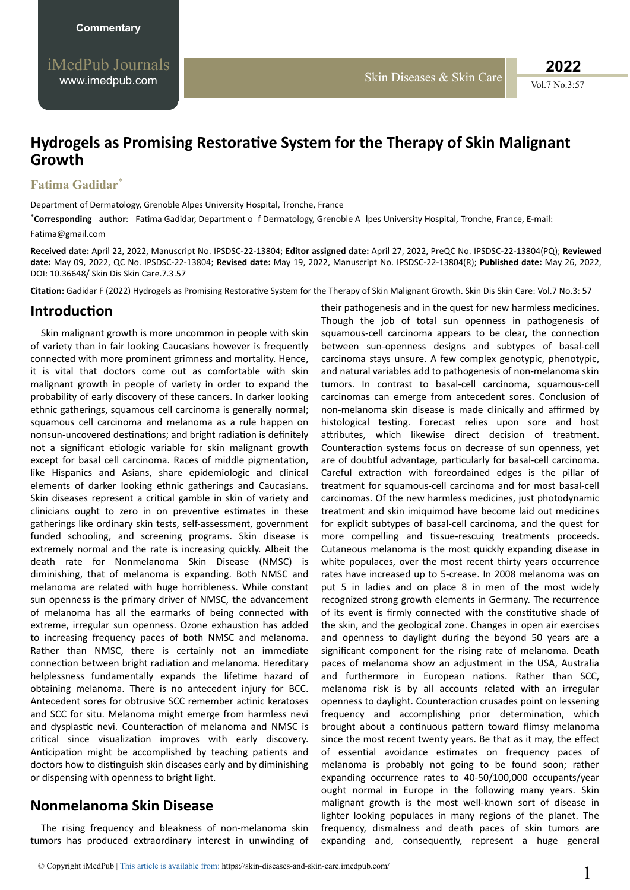# **Hydrogels as Promising Restorative System for the Therapy of Skin Malignant Growth**

#### **Fatima Gadidar**\*

Department of Dermatology, Grenoble Alpes University Hospital, Tronche, France

\*Corresponding author: Fatima Gadidar, Department o f Dermatology, Grenoble A lpes University Hospital, Tronche, France, E-mail: Fatima@gmail.com

**Received date:** April 22, 2022, Manuscript No. IPSDSC-22-13804; **Editor assigned date:** April 27, 2022, PreQC No. IPSDSC-22-13804(PQ); **Reviewed date:** May 09, 2022, QC No. IPSDSC-22-13804; **Revised date:** May 19, 2022, Manuscript No. IPSDSC-22-13804(R); **Published date:** May 26, 2022, DOI: 10.36648/ Skin Dis Skin Care.7.3.57

Citation: Gadidar F (2022) Hydrogels as Promising Restorative System for the Therapy of Skin Malignant Growth. Skin Dis Skin Care: Vol.7 No.3: 57

### *<u>Introduction</u>*

Skin malignant growth is more uncommon in people with skin of variety than in fair looking Caucasians however is frequently connected with more prominent grimness and mortality. Hence, it is vital that doctors come out as comfortable with skin malignant growth in people of variety in order to expand the probability of early discovery of these cancers. In darker looking ethnic gatherings, squamous cell carcinoma is generally normal; squamous cell carcinoma and melanoma as a rule happen on nonsun-uncovered destinations; and bright radiation is definitely not a significant etiologic variable for skin malignant growth except for basal cell carcinoma. Races of middle pigmentation, like Hispanics and Asians, share epidemiologic and clinical elements of darker looking ethnic gatherings and Caucasians. Skin diseases represent a critical gamble in skin of variety and clinicians ought to zero in on preventive estimates in these gatherings like ordinary skin tests, self-assessment, government funded schooling, and screening programs. Skin disease is extremely normal and the rate is increasing quickly. Albeit the death rate for Nonmelanoma Skin Disease (NMSC) is diminishing, that of melanoma is expanding. Both NMSC and melanoma are related with huge horribleness. While constant sun openness is the primary driver of NMSC, the advancement of melanoma has all the earmarks of being connected with extreme, irregular sun openness. Ozone exhaustion has added to increasing frequency paces of both NMSC and melanoma. Rather than NMSC, there is certainly not an immediate connection between bright radiation and melanoma. Hereditary helplessness fundamentally expands the lifetime hazard of obtaining melanoma. There is no antecedent injury for BCC. Antecedent sores for obtrusive SCC remember actinic keratoses and SCC for situ. Melanoma might emerge from harmless nevi and dysplastic nevi. Counteraction of melanoma and NMSC is critical since visualization improves with early discovery. Anticipation might be accomplished by teaching patients and doctors how to distinguish skin diseases early and by diminishing or dispensing with openness to bright light.

## **Nonmelanoma Skin Disease**

The rising frequency and bleakness of non-melanoma skin tumors has produced extraordinary interest in unwinding of

their pathogenesis and in the quest for new harmless medicines. Though the job of total sun openness in pathogenesis of squamous-cell carcinoma appears to be clear, the connection between sun-openness designs and subtypes of basal-cell carcinoma stays unsure. A few complex genotypic, phenotypic, and natural variables add to pathogenesis of non-melanoma skin tumors. In contrast to basal-cell carcinoma, squamous-cell carcinomas can emerge from antecedent sores. Conclusion of non-melanoma skin disease is made clinically and affirmed by histological testing. Forecast relies upon sore and host attributes, which likewise direct decision of treatment. Counteraction systems focus on decrease of sun openness, yet are of doubtful advantage, particularly for basal-cell carcinoma. Careful extraction with foreordained edges is the pillar of treatment for squamous-cell carcinoma and for most basal-cell carcinomas. Of the new harmless medicines, just photodynamic treatment and skin imiquimod have become laid out medicines for explicit subtypes of basal-cell carcinoma, and the quest for more compelling and tissue-rescuing treatments proceeds. Cutaneous melanoma is the most quickly expanding disease in white populaces, over the most recent thirty years occurrence rates have increased up to 5-crease. In 2008 melanoma was on put 5 in ladies and on place 8 in men of the most widely recognized strong growth elements in Germany. The recurrence of its event is firmly connected with the constitutive shade of the skin, and the geological zone. Changes in open air exercises and openness to daylight during the beyond 50 years are a significant component for the rising rate of melanoma. Death paces of melanoma show an adjustment in the USA, Australia and furthermore in European nations. Rather than SCC, melanoma risk is by all accounts related with an irregular openness to daylight. Counteraction crusades point on lessening frequency and accomplishing prior determination, which brought about a continuous pattern toward flimsy melanoma since the most recent twenty years. Be that as it may, the effect of essential avoidance estimates on frequency paces of melanoma is probably not going to be found soon; rather expanding occurrence rates to 40-50/100,000 occupants/year ought normal in Europe in the following many years. Skin malignant growth is the most well-known sort of disease in lighter looking populaces in many regions of the planet. The frequency, dismalness and death paces of skin tumors are expanding and, consequently, represent a huge general